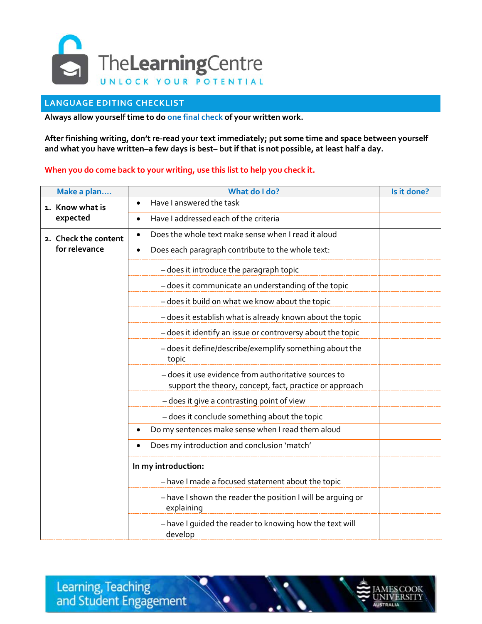

## **LANGUAGE EDITING CHECKLIST**

**Always allow yourself time to do one final check of your written work.**

**After finishing writing, don't re-read your text immediately; put some time and space between yourself and what you have written–a few days is best– but if that is not possible, at least half a day.** 

## **When you do come back to your writing, use this list to help you check it.**

| Make a plan                           | What do I do?                                                                                                   | Is it done? |
|---------------------------------------|-----------------------------------------------------------------------------------------------------------------|-------------|
| 1. Know what is<br>expected           | Have I answered the task<br>$\bullet$                                                                           |             |
|                                       | Have I addressed each of the criteria<br>$\bullet$                                                              |             |
| 2. Check the content<br>for relevance | Does the whole text make sense when I read it aloud<br>$\bullet$                                                |             |
|                                       | Does each paragraph contribute to the whole text:<br>$\bullet$                                                  |             |
|                                       | - does it introduce the paragraph topic                                                                         |             |
|                                       | - does it communicate an understanding of the topic                                                             |             |
|                                       | - does it build on what we know about the topic                                                                 |             |
|                                       | - does it establish what is already known about the topic                                                       |             |
|                                       | - does it identify an issue or controversy about the topic                                                      |             |
|                                       | - does it define/describe/exemplify something about the<br>topic                                                |             |
|                                       | - does it use evidence from authoritative sources to<br>support the theory, concept, fact, practice or approach |             |
|                                       | - does it give a contrasting point of view                                                                      |             |
|                                       | - does it conclude something about the topic                                                                    |             |
|                                       | Do my sentences make sense when I read them aloud                                                               |             |
|                                       | Does my introduction and conclusion 'match'                                                                     |             |
|                                       | In my introduction:<br>- have I made a focused statement about the topic                                        |             |
|                                       | - have I shown the reader the position I will be arguing or<br>explaining                                       |             |
|                                       | - have I quided the reader to knowing how the text will<br>develop                                              |             |

Learning, Teaching and Student Engagement

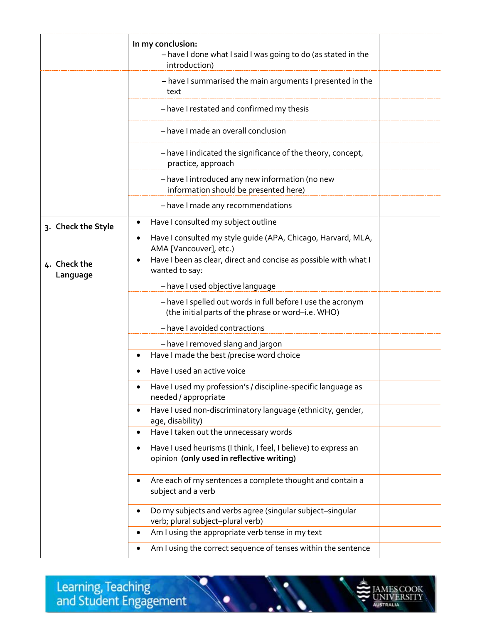|                          | In my conclusion:<br>- have I done what I said I was going to do (as stated in the<br>introduction)                       |  |
|--------------------------|---------------------------------------------------------------------------------------------------------------------------|--|
|                          | - have I summarised the main arguments I presented in the<br>text                                                         |  |
|                          | - have I restated and confirmed my thesis                                                                                 |  |
|                          | - have I made an overall conclusion                                                                                       |  |
|                          | - have I indicated the significance of the theory, concept,<br>practice, approach                                         |  |
|                          | - have I introduced any new information (no new<br>information should be presented here)                                  |  |
|                          | - have I made any recommendations                                                                                         |  |
| 3. Check the Style       | Have I consulted my subject outline<br>$\bullet$                                                                          |  |
|                          | Have I consulted my style guide (APA, Chicago, Harvard, MLA,<br>٠<br>AMA [Vancouver], etc.)                               |  |
| 4. Check the<br>Language | Have I been as clear, direct and concise as possible with what I<br>$\bullet$<br>wanted to say:                           |  |
|                          | - have I used objective language                                                                                          |  |
|                          | - have I spelled out words in full before I use the acronym<br>(the initial parts of the phrase or word-i.e. WHO)         |  |
|                          | - have I avoided contractions                                                                                             |  |
|                          | - have I removed slang and jargon                                                                                         |  |
|                          | Have I made the best /precise word choice<br>$\bullet$                                                                    |  |
|                          | Have I used an active voice                                                                                               |  |
|                          | Have I used my profession's / discipline-specific language as<br>needed / appropriate                                     |  |
|                          | Have I used non-discriminatory language (ethnicity, gender,<br>$\bullet$<br>age, disability)                              |  |
|                          | Have I taken out the unnecessary words<br>$\bullet$                                                                       |  |
|                          | Have I used heurisms (I think, I feel, I believe) to express an<br>$\bullet$<br>opinion (only used in reflective writing) |  |
|                          | Are each of my sentences a complete thought and contain a<br>$\bullet$<br>subject and a verb                              |  |
|                          | Do my subjects and verbs agree (singular subject-singular<br>$\bullet$<br>verb; plural subject-plural verb)               |  |
|                          | Am I using the appropriate verb tense in my text<br>$\bullet$                                                             |  |
|                          | Am I using the correct sequence of tenses within the sentence<br>$\bullet$                                                |  |